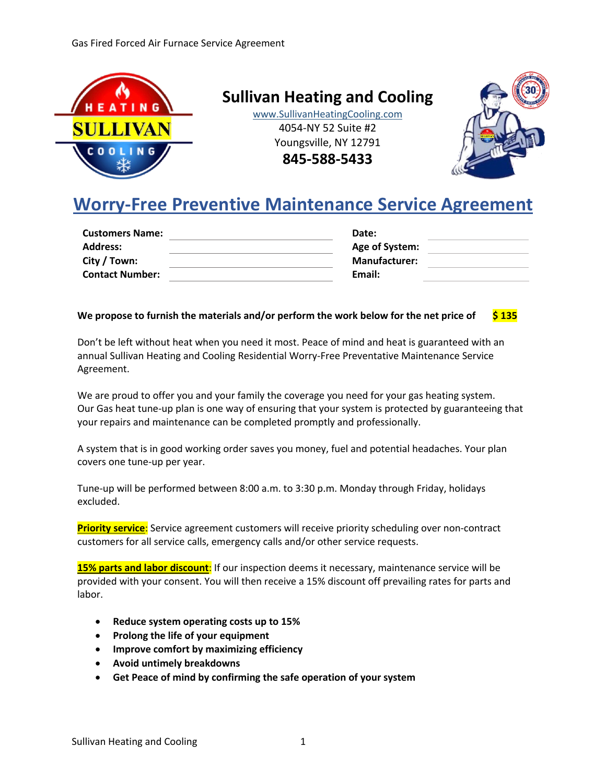

**Sullivan Heating and Cooling**

www.SullivanHeatingCooling.com 4054-NY 52 Suite #2 Youngsville, NY 12791

**845-588-5433**



# **Worry-Free Preventive Maintenance Service Agreement**

| <b>Customers Name:</b> | Date:                |
|------------------------|----------------------|
| <b>Address:</b>        | Age of System:       |
| City / Town:           | <b>Manufacturer:</b> |
| <b>Contact Number:</b> | Email:               |
|                        |                      |

# **We propose to furnish the materials and/or perform the work below for the net price of \$ 135**

Don't be left without heat when you need it most. Peace of mind and heat is guaranteed with an annual Sullivan Heating and Cooling Residential Worry-Free Preventative Maintenance Service Agreement.

We are proud to offer you and your family the coverage you need for your gas heating system. Our Gas heat tune-up plan is one way of ensuring that your system is protected by guaranteeing that your repairs and maintenance can be completed promptly and professionally.

A system that is in good working order saves you money, fuel and potential headaches. Your plan covers one tune-up per year.

Tune-up will be performed between 8:00 a.m. to 3:30 p.m. Monday through Friday, holidays excluded.

**Priority service**: Service agreement customers will receive priority scheduling over non-contract customers for all service calls, emergency calls and/or other service requests.

**15% parts and labor discount**: If our inspection deems it necessary, maintenance service will be provided with your consent. You will then receive a 15% discount off prevailing rates for parts and labor.

- **Reduce system operating costs up to 15%**
- **Prolong the life of your equipment**
- **Improve comfort by maximizing efficiency**
- **Avoid untimely breakdowns**
- **Get Peace of mind by confirming the safe operation of your system**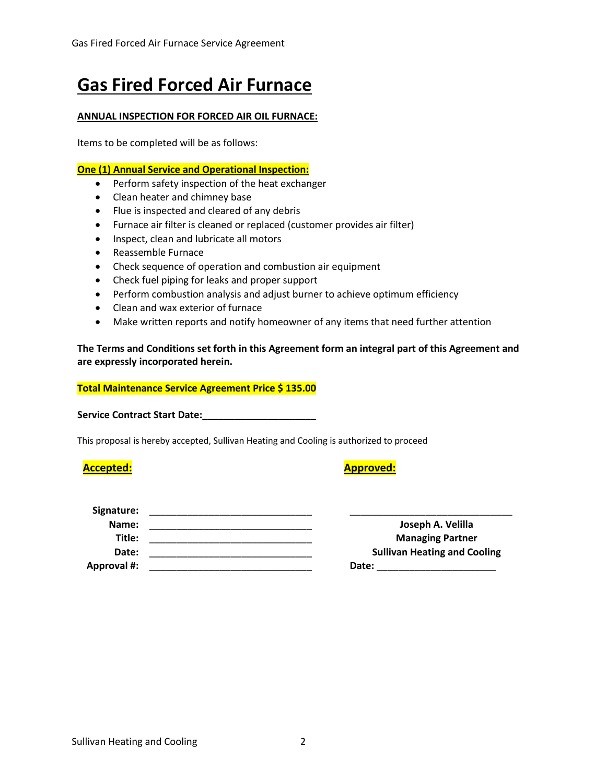# **Gas Fired Forced Air Furnace**

# **ANNUAL INSPECTION FOR FORCED AIR OIL FURNACE:**

Items to be completed will be as follows:

# **One (1) Annual Service and Operational Inspection:**

- Perform safety inspection of the heat exchanger
- Clean heater and chimney base
- Flue is inspected and cleared of any debris
- Furnace air filter is cleaned or replaced (customer provides air filter)
- Inspect, clean and lubricate all motors
- Reassemble Furnace
- Check sequence of operation and combustion air equipment
- Check fuel piping for leaks and proper support
- Perform combustion analysis and adjust burner to achieve optimum efficiency
- Clean and wax exterior of furnace
- Make written reports and notify homeowner of any items that need further attention

**The Terms and Conditions set forth in this Agreement form an integral part of this Agreement and are expressly incorporated herein.**

## **Total Maintenance Service Agreement Price \$ 135.00**

**Service Contract Start Date:\_\_\_\_\_\_\_\_\_\_\_\_\_\_\_\_\_\_\_\_\_**

This proposal is hereby accepted, Sullivan Heating and Cooling is authorized to proceed

# **Accepted: Approved:**

| Signature:         |                                     |
|--------------------|-------------------------------------|
| Name:              | Joseph A. Velilla                   |
| Title:             | <b>Managing Partner</b>             |
| Date:              | <b>Sullivan Heating and Cooling</b> |
| <b>Approval #:</b> | Date:                               |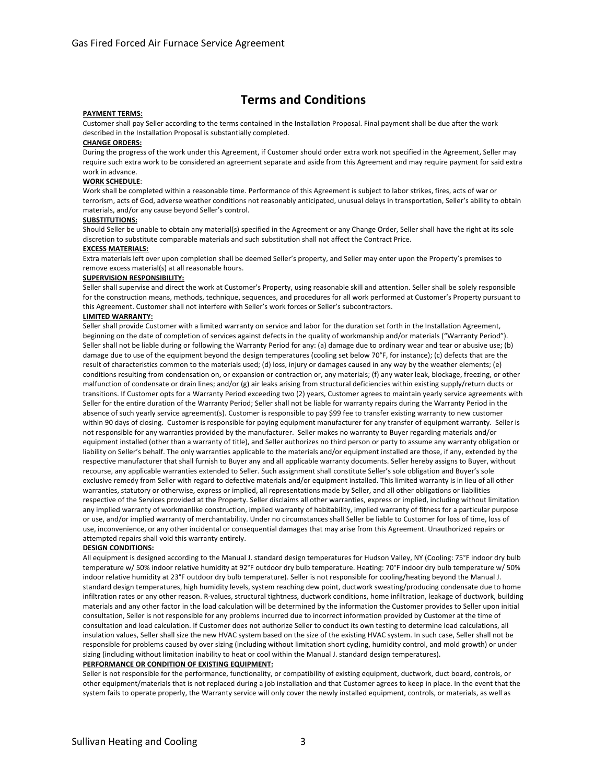# **Terms and Conditions**

#### **PAYMENT TERMS:**

Customer shall pay Seller according to the terms contained in the Installation Proposal. Final payment shall be due after the work described in the Installation Proposal is substantially completed.

#### **CHANGE ORDERS:**

During the progress of the work under this Agreement, if Customer should order extra work not specified in the Agreement, Seller may require such extra work to be considered an agreement separate and aside from this Agreement and may require payment for said extra work in advance.

#### **WORK SCHEDULE**:

Work shall be completed within a reasonable time. Performance of this Agreement is subject to labor strikes, fires, acts of war or terrorism, acts of God, adverse weather conditions not reasonably anticipated, unusual delays in transportation, Seller's ability to obtain materials, and/or any cause beyond Seller's control.

#### **SUBSTITUTIONS:**

Should Seller be unable to obtain any material(s) specified in the Agreement or any Change Order, Seller shall have the right at its sole discretion to substitute comparable materials and such substitution shall not affect the Contract Price.

#### **EXCESS MATERIALS:**

Extra materials left over upon completion shall be deemed Seller's property, and Seller may enter upon the Property's premises to remove excess material(s) at all reasonable hours.

#### **SUPERVISION RESPONSIBILITY:**

Seller shall supervise and direct the work at Customer's Property, using reasonable skill and attention. Seller shall be solely responsible for the construction means, methods, technique, sequences, and procedures for all work performed at Customer's Property pursuant to this Agreement. Customer shall not interfere with Seller's work forces or Seller's subcontractors.

#### **LIMITED WARRANTY:**

Seller shall provide Customer with a limited warranty on service and labor for the duration set forth in the Installation Agreement, beginning on the date of completion of services against defects in the quality of workmanship and/or materials ("Warranty Period"). Seller shall not be liable during or following the Warranty Period for any: (a) damage due to ordinary wear and tear or abusive use; (b) damage due to use of the equipment beyond the design temperatures (cooling set below 70°F, for instance); (c) defects that are the result of characteristics common to the materials used; (d) loss, injury or damages caused in any way by the weather elements; (e) conditions resulting from condensation on, or expansion or contraction or, any materials; (f) any water leak, blockage, freezing, or other malfunction of condensate or drain lines; and/or (g) air leaks arising from structural deficiencies within existing supply/return ducts or transitions. If Customer opts for a Warranty Period exceeding two (2) years, Customer agrees to maintain yearly service agreements with Seller for the entire duration of the Warranty Period; Seller shall not be liable for warranty repairs during the Warranty Period in the absence of such yearly service agreement(s). Customer is responsible to pay \$99 fee to transfer existing warranty to new customer within 90 days of closing. Customer is responsible for paying equipment manufacturer for any transfer of equipment warranty. Seller is not responsible for any warranties provided by the manufacturer. Seller makes no warranty to Buyer regarding materials and/or equipment installed (other than a warranty of title), and Seller authorizes no third person or party to assume any warranty obligation or liability on Seller's behalf. The only warranties applicable to the materials and/or equipment installed are those, if any, extended by the respective manufacturer that shall furnish to Buyer any and all applicable warranty documents. Seller hereby assigns to Buyer, without recourse, any applicable warranties extended to Seller. Such assignment shall constitute Seller's sole obligation and Buyer's sole exclusive remedy from Seller with regard to defective materials and/or equipment installed. This limited warranty is in lieu of all other warranties, statutory or otherwise, express or implied, all representations made by Seller, and all other obligations or liabilities respective of the Services provided at the Property. Seller disclaims all other warranties, express or implied, including without limitation any implied warranty of workmanlike construction, implied warranty of habitability, implied warranty of fitness for a particular purpose or use, and/or implied warranty of merchantability. Under no circumstances shall Seller be liable to Customer for loss of time, loss of use, inconvenience, or any other incidental or consequential damages that may arise from this Agreement. Unauthorized repairs or attempted repairs shall void this warranty entirely.

#### **DESIGN CONDITIONS:**

All equipment is designed according to the Manual J. standard design temperatures for Hudson Valley, NY (Cooling: 75°F indoor dry bulb temperature w/ 50% indoor relative humidity at 92°F outdoor dry bulb temperature. Heating: 70°F indoor dry bulb temperature w/ 50% indoor relative humidity at 23°F outdoor dry bulb temperature). Seller is not responsible for cooling/heating beyond the Manual J. standard design temperatures, high humidity levels, system reaching dew point, ductwork sweating/producing condensate due to home infiltration rates or any other reason. R-values, structural tightness, ductwork conditions, home infiltration, leakage of ductwork, building materials and any other factor in the load calculation will be determined by the information the Customer provides to Seller upon initial consultation, Seller is not responsible for any problems incurred due to incorrect information provided by Customer at the time of consultation and load calculation. If Customer does not authorize Seller to conduct its own testing to determine load calculations, all insulation values, Seller shall size the new HVAC system based on the size of the existing HVAC system. In such case, Seller shall not be responsible for problems caused by over sizing (including without limitation short cycling, humidity control, and mold growth) or under sizing (including without limitation inability to heat or cool within the Manual J. standard design temperatures).

#### **PERFORMANCE OR CONDITION OF EXISTING EQUIPMENT:**

Seller is not responsible for the performance, functionality, or compatibility of existing equipment, ductwork, duct board, controls, or other equipment/materials that is not replaced during a job installation and that Customer agrees to keep in place. In the event that the system fails to operate properly, the Warranty service will only cover the newly installed equipment, controls, or materials, as well as